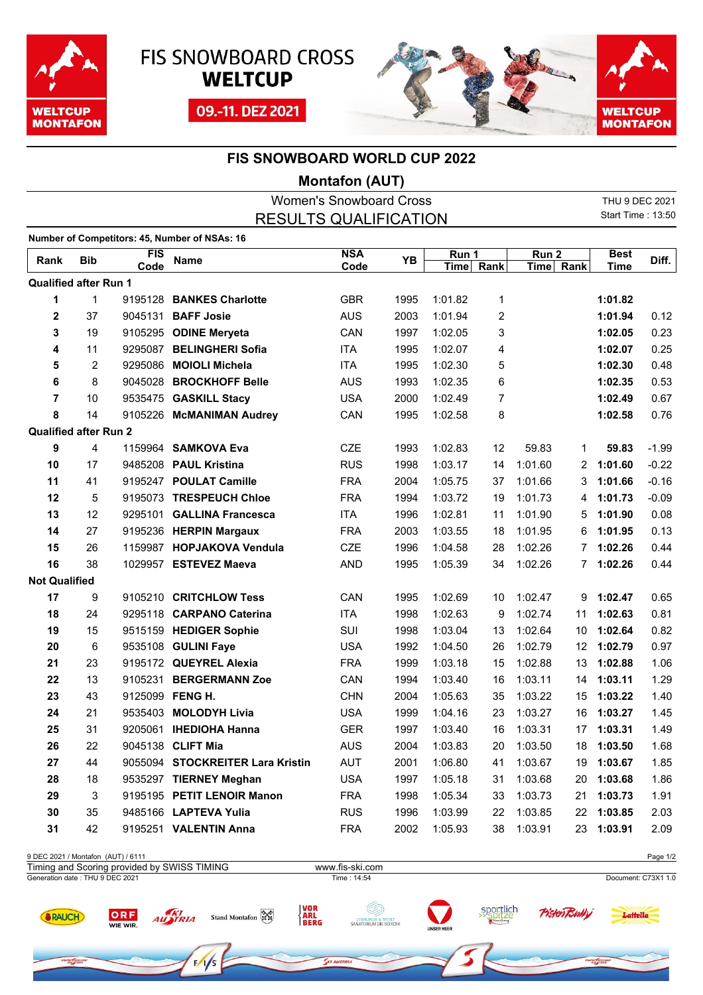

ow Google





 $ow$  no.

## **FIS SNOWBOARD WORLD CUP 2022**

## **Montafon (AUT)**

| <b>Women's Snowboard Cross</b>     |              |            |                                               |            |      |             |       |         | THU 9 DEC 2021    |             |          |
|------------------------------------|--------------|------------|-----------------------------------------------|------------|------|-------------|-------|---------|-------------------|-------------|----------|
| <b>RESULTS QUALIFICATION</b>       |              |            |                                               |            |      |             |       |         | Start Time: 13:50 |             |          |
|                                    |              |            | Number of Competitors: 45, Number of NSAs: 16 |            |      |             |       |         |                   |             |          |
|                                    |              | <b>FIS</b> |                                               | <b>NSA</b> |      |             | Run 1 |         | Run <sub>2</sub>  |             |          |
| Rank                               | <b>Bib</b>   | Code       | <b>Name</b>                                   | Code       | YB   | <b>Time</b> | Rank  |         | Time Rank         | <b>Time</b> | Diff.    |
| <b>Qualified after Run 1</b>       |              |            |                                               |            |      |             |       |         |                   |             |          |
| 1                                  | $\mathbf{1}$ | 9195128    | <b>BANKES Charlotte</b>                       | <b>GBR</b> | 1995 | 1:01.82     | 1     |         |                   | 1:01.82     |          |
| 2                                  | 37           | 9045131    | <b>BAFF Josie</b>                             | <b>AUS</b> | 2003 | 1:01.94     | 2     |         |                   | 1:01.94     | 0.12     |
| 3                                  | 19           |            | 9105295 ODINE Meryeta                         | CAN        | 1997 | 1:02.05     | 3     |         |                   | 1:02.05     | 0.23     |
| 4                                  | 11           |            | 9295087 BELINGHERI Sofia                      | <b>ITA</b> | 1995 | 1:02.07     | 4     |         |                   | 1:02.07     | 0.25     |
| 5                                  | 2            |            | 9295086 MOIOLI Michela                        | <b>ITA</b> | 1995 | 1:02.30     | 5     |         |                   | 1:02.30     | 0.48     |
| 6                                  | 8            |            | 9045028 BROCKHOFF Belle                       | <b>AUS</b> | 1993 | 1:02.35     | 6     |         |                   | 1:02.35     | 0.53     |
| $\overline{7}$                     | 10           |            | 9535475 GASKILL Stacy                         | <b>USA</b> | 2000 | 1:02.49     | 7     |         |                   | 1:02.49     | 0.67     |
| 8                                  | 14           |            | 9105226 McMANIMAN Audrey                      | CAN        | 1995 | 1:02.58     | 8     |         |                   | 1:02.58     | 0.76     |
| <b>Qualified after Run 2</b>       |              |            |                                               |            |      |             |       |         |                   |             |          |
| 9                                  | 4            |            | 1159964 SAMKOVA Eva                           | <b>CZE</b> | 1993 | 1:02.83     | 12    | 59.83   | 1                 | 59.83       | $-1.99$  |
| 10                                 | 17           |            | 9485208 PAUL Kristina                         | <b>RUS</b> | 1998 | 1:03.17     | 14    | 1:01.60 | 2                 | 1:01.60     | $-0.22$  |
| 11                                 | 41           |            | 9195247 POULAT Camille                        | <b>FRA</b> | 2004 | 1:05.75     | 37    | 1:01.66 | 3                 | 1:01.66     | $-0.16$  |
| 12                                 | 5            |            | 9195073 TRESPEUCH Chloe                       | <b>FRA</b> | 1994 | 1:03.72     | 19    | 1:01.73 | 4                 | 1:01.73     | $-0.09$  |
| 13                                 | 12           |            | 9295101 GALLINA Francesca                     | <b>ITA</b> | 1996 | 1:02.81     | 11    | 1:01.90 | 5                 | 1:01.90     | 0.08     |
| 14                                 | 27           |            | 9195236 HERPIN Margaux                        | <b>FRA</b> | 2003 | 1:03.55     | 18    | 1:01.95 | 6                 | 1:01.95     | 0.13     |
| 15                                 | 26           |            | 1159987 HOPJAKOVA Vendula                     | <b>CZE</b> | 1996 | 1:04.58     | 28    | 1:02.26 | 7                 | 1:02.26     | 0.44     |
| 16                                 | 38           |            | 1029957 ESTEVEZ Maeva                         | <b>AND</b> | 1995 | 1:05.39     | 34    | 1:02.26 | 7                 | 1:02.26     | 0.44     |
| <b>Not Qualified</b>               |              |            |                                               |            |      |             |       |         |                   |             |          |
| 17                                 | 9            |            | 9105210 CRITCHLOW Tess                        | CAN        | 1995 | 1:02.69     | 10    | 1:02.47 | 9                 | 1:02.47     | 0.65     |
| 18                                 | 24           |            | 9295118 CARPANO Caterina                      | <b>ITA</b> | 1998 | 1:02.63     | 9     | 1:02.74 | 11                | 1:02.63     | 0.81     |
| 19                                 | 15           |            | 9515159 HEDIGER Sophie                        | SUI        | 1998 | 1:03.04     | 13    | 1:02.64 | 10                | 1:02.64     | 0.82     |
| 20                                 | 6            |            | 9535108 GULINI Faye                           | <b>USA</b> | 1992 | 1:04.50     | 26    | 1:02.79 | 12                | 1:02.79     | 0.97     |
| 21                                 | 23           |            | 9195172 QUEYREL Alexia                        | <b>FRA</b> | 1999 | 1:03.18     | 15    | 1:02.88 | 13                | 1:02.88     | 1.06     |
| 22                                 | 13           | 9105231    | <b>BERGERMANN Zoe</b>                         | CAN        | 1994 | 1:03.40     | 16    | 1:03.11 | 14                | 1:03.11     | 1.29     |
| 23                                 | 43           |            | 9125099 FENG H.                               | <b>CHN</b> | 2004 | 1:05.63     | 35    | 1:03.22 | 15                | 1:03.22     | 1.40     |
| 24                                 | 21           |            | 9535403 MOLODYH Livia                         | <b>USA</b> | 1999 | 1:04.16     | 23    | 1:03.27 | 16                | 1:03.27     | 1.45     |
| 25                                 | 31           |            | 9205061 IHEDIOHA Hanna                        | <b>GER</b> | 1997 | 1:03.40     | 16    | 1:03.31 | 17                | 1:03.31     | 1.49     |
| 26                                 | 22           |            | 9045138 CLIFT Mia                             | <b>AUS</b> | 2004 | 1:03.83     | 20    | 1:03.50 | 18                | 1:03.50     | 1.68     |
| 27                                 | 44           |            | 9055094 STOCKREITER Lara Kristin              | AUT        | 2001 | 1:06.80     | 41    | 1:03.67 | 19                | 1:03.67     | 1.85     |
| 28                                 | 18           |            | 9535297 TIERNEY Meghan                        | <b>USA</b> | 1997 | 1:05.18     | 31    | 1:03.68 | 20                | 1:03.68     | 1.86     |
| 29                                 | 3            |            | 9195195 PETIT LENOIR Manon                    | <b>FRA</b> | 1998 | 1:05.34     | 33    | 1:03.73 | 21                | 1:03.73     | 1.91     |
| 30                                 | 35           |            | 9485166 LAPTEVA Yulia                         | <b>RUS</b> | 1996 | 1:03.99     | 22    | 1:03.85 | 22                | 1:03.85     | 2.03     |
| 31                                 | 42           |            | 9195251 VALENTIN Anna                         | <b>FRA</b> | 2002 | 1:05.93     | 38    | 1:03.91 |                   | 23 1:03.91  | 2.09     |
|                                    |              |            |                                               |            |      |             |       |         |                   |             |          |
| 9 DEC 2021 / Montafon (AUT) / 6111 |              |            |                                               |            |      |             |       |         |                   |             | Page 1/2 |